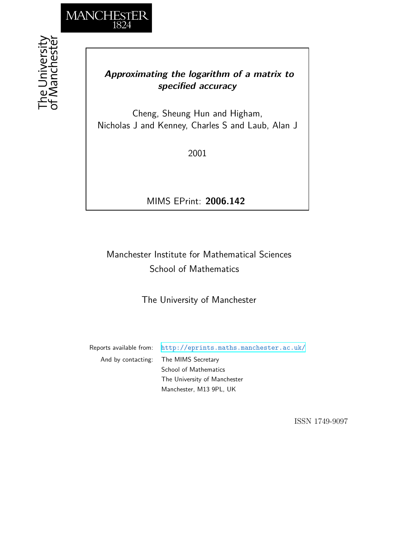

## *Approximating the logarithm of a matrix to specified accuracy*

Cheng, Sheung Hun and Higham, Nicholas J and Kenney, Charles S and Laub, Alan J

2001

MIMS EPrint: **2006.142**

# Manchester Institute for Mathematical Sciences School of Mathematics

The University of Manchester

Reports available from: <http://eprints.maths.manchester.ac.uk/> And by contacting: The MIMS Secretary School of Mathematics The University of Manchester Manchester, M13 9PL, UK

ISSN 1749-9097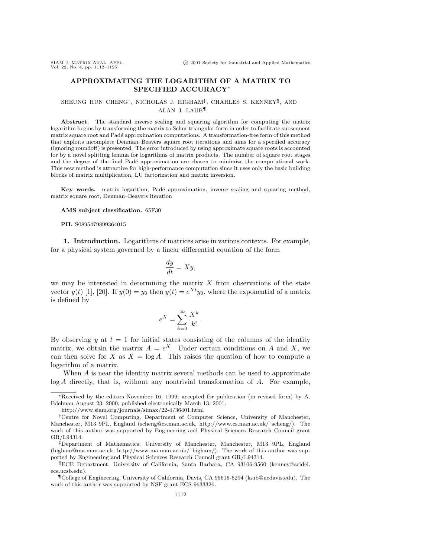### **APPROXIMATING THE LOGARITHM OF A MATRIX TO SPECIFIED ACCURACY**<sup>∗</sup>

#### SHEUNG HUN CHENG†, NICHOLAS J. HIGHAM‡, CHARLES S. KENNEY§, AND ALAN J. LAUB¶

**Abstract.** The standard inverse scaling and squaring algorithm for computing the matrix logarithm begins by transforming the matrix to Schur triangular form in order to facilitate subsequent matrix square root and Padé approximation computations. A transformation-free form of this method that exploits incomplete Denman–Beavers square root iterations and aims for a specified accuracy (ignoring roundoff) is presented. The error introduced by using approximate square roots is accounted for by a novel splitting lemma for logarithms of matrix products. The number of square root stages and the degree of the final Padé approximation are chosen to minimize the computational work. This new method is attractive for high-performance computation since it uses only the basic building blocks of matrix multiplication, LU factorization and matrix inversion.

Key words. matrix logarithm, Padé approximation, inverse scaling and squaring method, matrix square root, Denman–Beavers iteration

**AMS subject classification.** 65F30

**PII.** S0895479899364015

**1. Introduction.** Logarithms of matrices arise in various contexts. For example, for a physical system governed by a linear differential equation of the form

$$
\frac{dy}{dt} = Xy,
$$

we may be interested in determining the matrix  $X$  from observations of the state vector  $y(t)$  [1], [20]. If  $y(0) = y_0$  then  $y(t) = e^{Xt}y_0$ , where the exponential of a matrix is defined by

$$
e^X = \sum_{k=0}^{\infty} \frac{X^k}{k!}.
$$

By observing y at  $t = 1$  for initial states consisting of the columns of the identity matrix, we obtain the matrix  $A = e^X$ . Under certain conditions on A and X, we can then solve for X as  $X = \log A$ . This raises the question of how to compute a logarithm of a matrix.

When A is near the identity matrix several methods can be used to approximate  $log A$  directly, that is, without any nontrivial transformation of  $A$ . For example,

<sup>∗</sup>Received by the editors November 16, 1999; accepted for publication (in revised form) by A. Edelman August 23, 2000; published electronically March 13, 2001.

http://www.siam.org/journals/simax/22-4/36401.html

<sup>&</sup>lt;sup>†</sup>Centre for Novel Computing, Department of Computer Science, University of Manchester, Manchester, M13 9PL, England (scheng@cs.man.ac.uk, http://www.cs.man.ac.uk/˜scheng/). The work of this author was supported by Engineering and Physical Sciences Research Council grant GR/L94314.

<sup>‡</sup>Department of Mathematics, University of Manchester, Manchester, M13 9PL, England (higham@ma.man.ac.uk, http://www.ma.man.ac.uk/˜higham/). The work of this author was supported by Engineering and Physical Sciences Research Council grant GR/L94314.

<sup>§</sup>ECE Department, University of California, Santa Barbara, CA 93106-9560 (kenney@seidel. ece.ucsb.edu).

<sup>¶</sup>College of Engineering, University of California, Davis, CA 95616-5294 (laub@ucdavis.edu). The work of this author was supported by NSF grant ECS-9633326.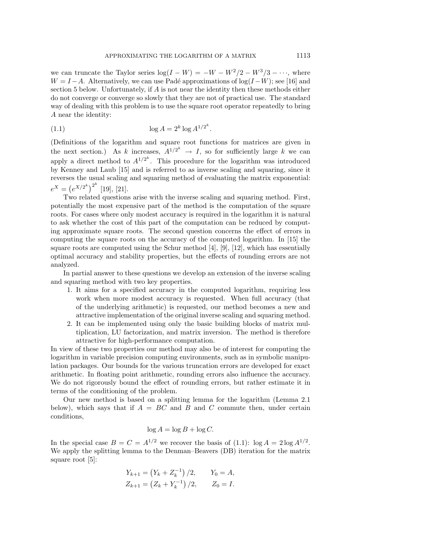we can truncate the Taylor series  $\log(I - W) = -W - W^2/2 - W^3/3 - \cdots$ , where  $W = I - A$ . Alternatively, we can use Padé approximations of  $log(I - W)$ ; see [16] and section 5 below. Unfortunately, if A is not near the identity then these methods either do not converge or converge so slowly that they are not of practical use. The standard way of dealing with this problem is to use the square root operator repeatedly to bring A near the identity:

(1.1) 
$$
\log A = 2^k \log A^{1/2^k}.
$$

(Definitions of the logarithm and square root functions for matrices are given in the next section.) As k increases,  $A^{1/2^k} \to I$ , so for sufficiently large k we can apply a direct method to  $A^{1/2^k}$ . This procedure for the logarithm was introduced by Kenney and Laub [15] and is referred to as inverse scaling and squaring, since it reverses the usual scaling and squaring method of evaluating the matrix exponential:  $e^X = (e^{X/2^k})^{2^k}$  [19], [21].

Two related questions arise with the inverse scaling and squaring method. First, potentially the most expensive part of the method is the computation of the square roots. For cases where only modest accuracy is required in the logarithm it is natural to ask whether the cost of this part of the computation can be reduced by computing approximate square roots. The second question concerns the effect of errors in computing the square roots on the accuracy of the computed logarithm. In [15] the square roots are computed using the Schur method [4], [9], [12], which has essentially optimal accuracy and stability properties, but the effects of rounding errors are not analyzed.

In partial answer to these questions we develop an extension of the inverse scaling and squaring method with two key properties.

- 1. It aims for a specified accuracy in the computed logarithm, requiring less work when more modest accuracy is requested. When full accuracy (that of the underlying arithmetic) is requested, our method becomes a new and attractive implementation of the original inverse scaling and squaring method.
- 2. It can be implemented using only the basic building blocks of matrix multiplication, LU factorization, and matrix inversion. The method is therefore attractive for high-performance computation.

In view of these two properties our method may also be of interest for computing the logarithm in variable precision computing environments, such as in symbolic manipulation packages. Our bounds for the various truncation errors are developed for exact arithmetic. In floating point arithmetic, rounding errors also influence the accuracy. We do not rigorously bound the effect of rounding errors, but rather estimate it in terms of the conditioning of the problem.

Our new method is based on a splitting lemma for the logarithm (Lemma 2.1 below), which says that if  $A = BC$  and B and C commute then, under certain conditions,

$$
\log A = \log B + \log C.
$$

In the special case  $B = C = A^{1/2}$  we recover the basis of (1.1):  $\log A = 2 \log A^{1/2}$ . We apply the splitting lemma to the Denman–Beavers (DB) iteration for the matrix square root [5]:

$$
Y_{k+1} = (Y_k + Z_k^{-1})/2, \t Y_0 = A,
$$
  

$$
Z_{k+1} = (Z_k + Y_k^{-1})/2, \t Z_0 = I.
$$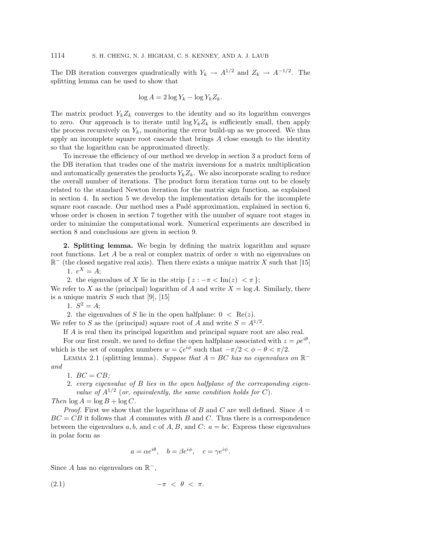The DB iteration converges quadratically with  $Y_k \to A^{1/2}$  and  $Z_k \to A^{-1/2}$ . The splitting lemma can be used to show that

$$
\log A = 2\log Y_k - \log Y_k Z_k.
$$

The matrix product  $Y_k Z_k$  converges to the identity and so its logarithm converges to zero. Our approach is to iterate until  $\log Y_k Z_k$  is sufficiently small, then apply the process recursively on  $Y_k$ , monitoring the error build-up as we proceed. We thus apply an incomplete square root cascade that brings A close enough to the identity so that the logarithm can be approximated directly.

To increase the efficiency of our method we develop in section 3 a product form of the DB iteration that trades one of the matrix inversions for a matrix multiplication and automatically generates the products  $Y_k Z_k$ . We also incorporate scaling to reduce the overall number of iterations. The product form iteration turns out to be closely related to the standard Newton iteration for the matrix sign function, as explained in section 4. In section 5 we develop the implementation details for the incomplete square root cascade. Our method uses a Padé approximation, explained in section 6, whose order is chosen in section 7 together with the number of square root stages in order to minimize the computational work. Numerical experiments are described in section 8 and conclusions are given in section 9.

**2. Splitting lemma.** We begin by defining the matrix logarithm and square root functions. Let A be a real or complex matrix of order  $n$  with no eigenvalues on  $\mathbb{R}^-$  (the closed negative real axis). Then there exists a unique matrix X such that [15]

1.  $e^X = A;$ 

2. the eigenvalues of X lie in the strip  $\{z : -\pi < \text{Im}(z) < \pi\};$ We refer to X as the (principal) logarithm of A and write  $X = \log A$ . Similarly, there is a unique matrix  $S$  such that [9], [15]

1.  $S^2 = A;$ 

2. the eigenvalues of S lie in the open halfplane:  $0 < \text{Re}(z)$ . We refer to S as the (principal) square root of A and write  $S = A^{1/2}$ .

If A is real then its principal logarithm and principal square root are also real.

For our first result, we need to define the open halfplane associated with  $z = \rho e^{i\theta}$ , which is the set of complex numbers  $w = \zeta e^{i\phi}$  such that  $-\pi/2 < \phi - \theta < \pi/2$ .

LEMMA 2.1 (splitting lemma). Suppose that  $A = BC$  has no eigenvalues on  $\mathbb{R}^$ and

1.  $BC = CB$ ;

2. every eigenvalue of B lies in the open halfplane of the corresponding eigenvalue of  $A^{1/2}$  (or, equivalently, the same condition holds for C).

Then  $\log A = \log B + \log C$ .

*Proof.* First we show that the logarithms of B and C are well defined. Since  $A =$  $BC = CB$  it follows that A commutes with B and C. Thus there is a correspondence between the eigenvalues a, b, and c of  $A, B$ , and C:  $a = bc$ . Express these eigenvalues in polar form as

$$
a = \alpha e^{i\theta}, \quad b = \beta e^{i\phi}, \quad c = \gamma e^{i\psi}.
$$

Since A has no eigenvalues on  $\mathbb{R}^-$ ,

$$
(2.1) \t -\pi < \theta < \pi.
$$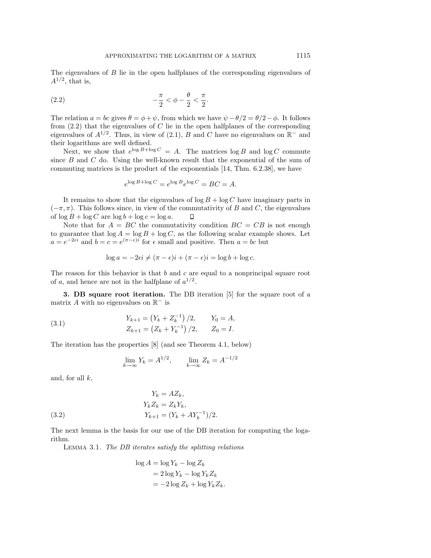The eigenvalues of B lie in the open halfplanes of the corresponding eigenvalues of  $A^{1/2}$ , that is,

(2.2) 
$$
-\frac{\pi}{2} < \phi - \frac{\theta}{2} < \frac{\pi}{2}.
$$

The relation  $a = bc$  gives  $\theta = \phi + \psi$ , from which we have  $\psi - \theta/2 = \theta/2 - \phi$ . It follows from  $(2.2)$  that the eigenvalues of C lie in the open halfplanes of the corresponding eigenvalues of  $A^{1/2}$ . Thus, in view of (2.1), B and C have no eigenvalues on  $\mathbb{R}^-$  and their logarithms are well defined.

Next, we show that  $e^{\log B + \log C} = A$ . The matrices  $\log B$  and  $\log C$  commute since  $B$  and  $C$  do. Using the well-known result that the exponential of the sum of commuting matrices is the product of the exponentials [14, Thm. 6.2.38], we have

$$
e^{\log B + \log C} = e^{\log B} e^{\log C} = BC = A.
$$

It remains to show that the eigenvalues of  $\log B + \log C$  have imaginary parts in  $(-\pi, \pi)$ . This follows since, in view of the commutativity of B and C, the eigenvalues of  $\log B + \log C$  are  $\log b + \log c = \log a$ .  $\Box$ 

Note that for  $A = BC$  the commutativity condition  $BC = CB$  is not enough to guarantee that  $\log A = \log B + \log C$ , as the following scalar example shows. Let  $a = e^{-2\epsilon i}$  and  $b = c = e^{(\pi - \epsilon)i}$  for  $\epsilon$  small and positive. Then  $a = bc$  but

$$
\log a = -2\epsilon i \neq (\pi - \epsilon)i + (\pi - \epsilon)i = \log b + \log c.
$$

The reason for this behavior is that  $b$  and  $c$  are equal to a nonprincipal square root of a, and hence are not in the halfplane of  $a^{1/2}$ .

**3. DB square root iteration.** The DB iteration [5] for the square root of a matrix A with no eigenvalues on  $\mathbb{R}^-$  is

(3.1) 
$$
Y_{k+1} = (Y_k + Z_k^{-1})/2, \qquad Y_0 = A,
$$

$$
Z_{k+1} = (Z_k + Y_k^{-1})/2, \qquad Z_0 = I.
$$

The iteration has the properties [8] (and see Theorem 4.1, below)

$$
\lim_{k \to \infty} Y_k = A^{1/2}, \qquad \lim_{k \to \infty} Z_k = A^{-1/2}
$$

and, for all  $k$ ,

(3.2) 
$$
Y_k = AZ_k, Y_k Z_k = Z_k Y_k, Y_{k+1} = (Y_k + A Y_k^{-1})/2.
$$

The next lemma is the basis for our use of the DB iteration for computing the logarithm.

Lemma 3.1. The DB iterates satisfy the splitting relations

$$
\log A = \log Y_k - \log Z_k
$$
  
=  $2 \log Y_k - \log Y_k Z_k$   
=  $-2 \log Z_k + \log Y_k Z_k$ .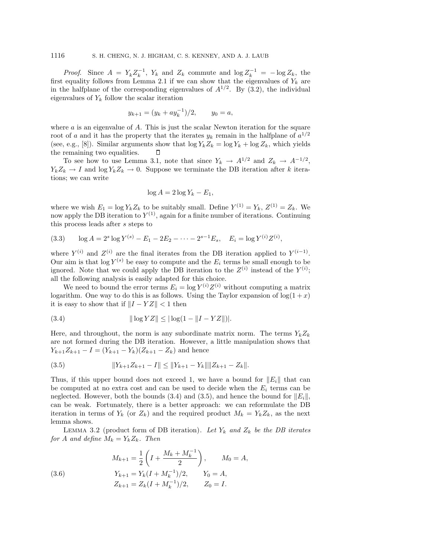*Proof.* Since  $A = Y_k Z_k^{-1}$ ,  $Y_k$  and  $Z_k$  commute and  $\log Z_k^{-1} = -\log Z_k$ , the first equality follows from Lemma 2.1 if we can show that the eigenvalues of  $Y_k$  are in the halfplane of the corresponding eigenvalues of  $A^{1/2}$ . By (3.2), the individual eigenvalues of  $Y_k$  follow the scalar iteration

$$
y_{k+1} = (y_k + ay_k^{-1})/2, \qquad y_0 = a,
$$

where  $a$  is an eigenvalue of  $A$ . This is just the scalar Newton iteration for the square root of a and it has the property that the iterates  $y_k$  remain in the halfplane of  $a^{1/2}$ (see, e.g., [8]). Similar arguments show that  $\log Y_k Z_k = \log Y_k + \log Z_k$ , which yields the remaining two equalities. П

To see how to use Lemma 3.1, note that since  $Y_k \to A^{1/2}$  and  $Z_k \to A^{-1/2}$ ,  $Y_k Z_k \to I$  and  $\log Y_k Z_k \to 0$ . Suppose we terminate the DB iteration after k iterations; we can write

$$
\log A = 2\log Y_k - E_1,
$$

where we wish  $E_1 = \log Y_k Z_k$  to be suitably small. Define  $Y^{(1)} = Y_k$ ,  $Z^{(1)} = Z_k$ . We now apply the DB iteration to  $Y^{(1)}$ , again for a finite number of iterations. Continuing this process leads after s steps to

(3.3) 
$$
\log A = 2^s \log Y^{(s)} - E_1 - 2E_2 - \dots - 2^{s-1} E_s, \quad E_i = \log Y^{(i)} Z^{(i)},
$$

where  $Y^{(i)}$  and  $Z^{(i)}$  are the final iterates from the DB iteration applied to  $Y^{(i-1)}$ . Our aim is that  $\log Y^{(s)}$  be easy to compute and the  $E_i$  terms be small enough to be ignored. Note that we could apply the DB iteration to the  $Z^{(i)}$  instead of the  $Y^{(i)}$ ; all the following analysis is easily adapted for this choice.

We need to bound the error terms  $E_i = \log Y^{(i)} Z^{(i)}$  without computing a matrix logarithm. One way to do this is as follows. Using the Taylor expansion of  $\log(1+x)$ it is easy to show that if  $||I - YZ|| < 1$  then

(3.4) 
$$
\|\log YZ\| \leq |\log(1 - \|I - YZ\|)|.
$$

Here, and throughout, the norm is any subordinate matrix norm. The terms  $Y_k Z_k$ are not formed during the DB iteration. However, a little manipulation shows that  $Y_{k+1}Z_{k+1} - I = (Y_{k+1} - Y_k)(Z_{k+1} - Z_k)$  and hence

(3.5) Yk+1Zk+1 − I≤Yk+1 − YkZk+1 − Zk.

Thus, if this upper bound does not exceed 1, we have a bound for  $||E_i||$  that can be computed at no extra cost and can be used to decide when the  $E_i$  terms can be neglected. However, both the bounds (3.4) and (3.5), and hence the bound for  $||E_i||$ , can be weak. Fortunately, there is a better approach: we can reformulate the DB iteration in terms of  $Y_k$  (or  $Z_k$ ) and the required product  $M_k = Y_k Z_k$ , as the next lemma shows.

LEMMA 3.2 (product form of DB iteration). Let  $Y_k$  and  $Z_k$  be the DB iterates for A and define  $M_k = Y_k Z_k$ . Then

(3.6) 
$$
M_{k+1} = \frac{1}{2} \left( I + \frac{M_k + M_k^{-1}}{2} \right), \qquad M_0 = A,
$$

$$
Y_{k+1} = Y_k (I + M_k^{-1})/2, \qquad Y_0 = A,
$$

$$
Z_{k+1} = Z_k (I + M_k^{-1})/2, \qquad Z_0 = I.
$$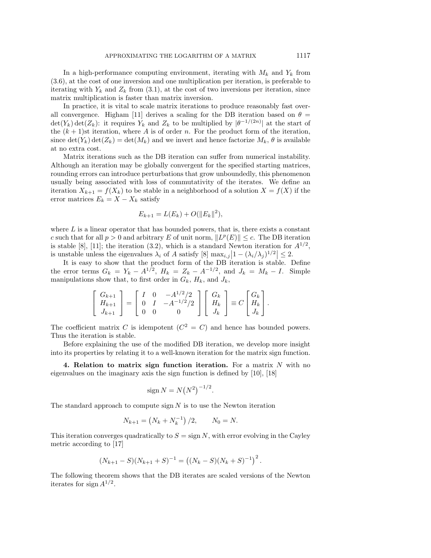In a high-performance computing environment, iterating with  $M_k$  and  $Y_k$  from (3.6), at the cost of one inversion and one multiplication per iteration, is preferable to iterating with  $Y_k$  and  $Z_k$  from (3.1), at the cost of two inversions per iteration, since matrix multiplication is faster than matrix inversion.

In practice, it is vital to scale matrix iterations to produce reasonably fast overall convergence. Higham [11] derives a scaling for the DB iteration based on  $\theta =$  $\det(Y_k)\det(Z_k)$ : it requires  $Y_k$  and  $Z_k$  to be multiplied by  $|\theta^{-1/(2n)}|$  at the start of the  $(k + 1)$ st iteration, where A is of order n. For the product form of the iteration, since  $\det(Y_k) \det(Z_k) = \det(M_k)$  and we invert and hence factorize  $M_k$ ,  $\theta$  is available at no extra cost.

Matrix iterations such as the DB iteration can suffer from numerical instability. Although an iteration may be globally convergent for the specified starting matrices, rounding errors can introduce perturbations that grow unboundedly, this phenomenon usually being associated with loss of commutativity of the iterates. We define an iteration  $X_{k+1} = f(X_k)$  to be stable in a neighborhood of a solution  $X = f(X)$  if the error matrices  $E_k = X - X_k$  satisfy

$$
E_{k+1} = L(E_k) + O(||E_k||^2),
$$

where  $L$  is a linear operator that has bounded powers, that is, there exists a constant c such that for all  $p > 0$  and arbitrary E of unit norm,  $||L^p(E)|| \leq c$ . The DB iteration is stable [8], [11]; the iteration (3.2), which is a standard Newton iteration for  $A^{1/2}$ , is unstable unless the eigenvalues  $\lambda_i$  of A satisfy [8]  $\max_{i,j}|1-(\lambda_i/\lambda_j)^{1/2}| \leq 2$ .

It is easy to show that the product form of the DB iteration is stable. Define the error terms  $G_k = Y_k - A^{1/2}$ ,  $H_k = Z_k - A^{-1/2}$ , and  $J_k = M_k - I$ . Simple manipulations show that, to first order in  $G_k$ ,  $H_k$ , and  $J_k$ ,

$$
\left[\begin{array}{c} G_{k+1} \\ H_{k+1} \\ J_{k+1} \end{array}\right] = \left[\begin{array}{ccc} I & 0 & -A^{1/2}/2 \\ 0 & I & -A^{-1/2}/2 \\ 0 & 0 & 0 \end{array}\right] \left[\begin{array}{c} G_k \\ H_k \\ J_k \end{array}\right] \equiv C \left[\begin{array}{c} G_k \\ H_k \\ J_k \end{array}\right].
$$

The coefficient matrix C is idempotent  $(C^2 = C)$  and hence has bounded powers. Thus the iteration is stable.

Before explaining the use of the modified DB iteration, we develop more insight into its properties by relating it to a well-known iteration for the matrix sign function.

**4. Relation to matrix sign function iteration.** For a matrix N with no eigenvalues on the imaginary axis the sign function is defined by [10], [18]

$$
\text{sign } N = N(N^2)^{-1/2}.
$$

The standard approach to compute sign  $N$  is to use the Newton iteration

$$
N_{k+1} = (N_k + N_k^{-1})/2, \qquad N_0 = N.
$$

This iteration converges quadratically to  $S = \text{sign } N$ , with error evolving in the Cayley metric according to [17]

$$
(N_{k+1}-S)(N_{k+1}+S)^{-1} = ((N_k - S)(N_k + S)^{-1})^2.
$$

The following theorem shows that the DB iterates are scaled versions of the Newton iterates for sign  $A^{1/2}$ .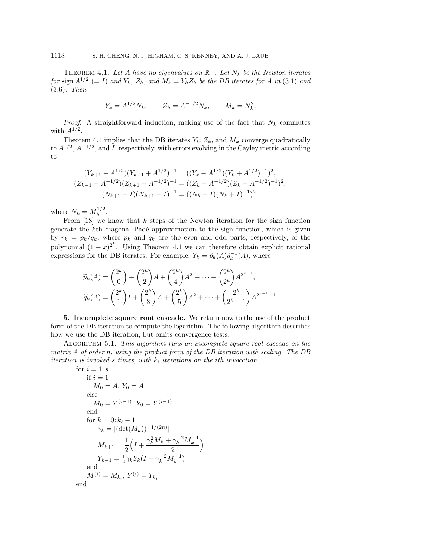THEOREM 4.1. Let A have no eigenvalues on  $\mathbb{R}^-$ . Let  $N_k$  be the Newton iterates for sign  $A^{1/2}$  (= I) and  $Y_k$ ,  $Z_k$ , and  $M_k = Y_k Z_k$  be the DB iterates for A in (3.1) and (3.6). Then

$$
Y_k = A^{1/2} N_k
$$
,  $Z_k = A^{-1/2} N_k$ ,  $M_k = N_k^2$ .

*Proof.* A straightforward induction, making use of the fact that  $N_k$  commutes with  $A^{1/2}$ .  $\Box$ 

Theorem 4.1 implies that the DB iterates  $Y_k, Z_k$ , and  $M_k$  converge quadratically to  $A^{1/2}$ ,  $A^{-1/2}$ , and I, respectively, with errors evolving in the Cayley metric according to

$$
(Y_{k+1} - A^{1/2})(Y_{k+1} + A^{1/2})^{-1} = ((Y_k - A^{1/2})(Y_k + A^{1/2})^{-1})^2,
$$
  
\n
$$
(Z_{k+1} - A^{-1/2})(Z_{k+1} + A^{-1/2})^{-1} = ((Z_k - A^{-1/2})(Z_k + A^{-1/2})^{-1})^2,
$$
  
\n
$$
(N_{k+1} - I)(N_{k+1} + I)^{-1} = ((N_k - I)(N_k + I)^{-1})^2,
$$

where  $N_k = M_k^{1/2}$ .

From  $[18]$  we know that k steps of the Newton iteration for the sign function generate the kth diagonal Padé approximation to the sign function, which is given by  $r_k = p_k/q_k$ , where  $p_k$  and  $q_k$  are the even and odd parts, respectively, of the polynomial  $(1+x)^{2^k}$ . Using Theorem 4.1 we can therefore obtain explicit rational expressions for the DB iterates. For example,  $Y_k = \tilde{p}_k(A)\tilde{q}_k^{-1}(A)$ , where

$$
\widetilde{p}_k(A) = \binom{2^k}{0} + \binom{2^k}{2}A + \binom{2^k}{4}A^2 + \dots + \binom{2^k}{2^k}A^{2^{k-1}},
$$
\n
$$
\widetilde{q}_k(A) = \binom{2^k}{1}I + \binom{2^k}{3}A + \binom{2^k}{5}A^2 + \dots + \binom{2^k}{2^k - 1}A^{2^{k-1} - 1}.
$$

**5. Incomplete square root cascade.** We return now to the use of the product form of the DB iteration to compute the logarithm. The following algorithm describes how we use the DB iteration, but omits convergence tests.

Algorithm 5.1. This algorithm runs an incomplete square root cascade on the matrix A of order n, using the product form of the DB iteration with scaling. The DB iteration is invoked s times, with  $k_i$  iterations on the ith invocation.

for 
$$
i = 1:s
$$
  
\nif  $i = 1$   
\n $M_0 = A$ ,  $Y_0 = A$   
\nelse  
\n $M_0 = Y^{(i-1)}$ ,  $Y_0 = Y^{(i-1)}$   
\nend  
\nfor  $k = 0: k_i - 1$   
\n $\gamma_k = |(\det(M_k))^{-1/(2n)}|$   
\n $M_{k+1} = \frac{1}{2} \left( I + \frac{\gamma_k^2 M_k + \gamma_k^{-2} M_k^{-1}}{2} \right)$   
\n $Y_{k+1} = \frac{1}{2} \gamma_k Y_k (I + \gamma_k^{-2} M_k^{-1})$   
\nend  
\n $M^{(i)} = M_{k_i}, Y^{(i)} = Y_{k_i}$   
\nend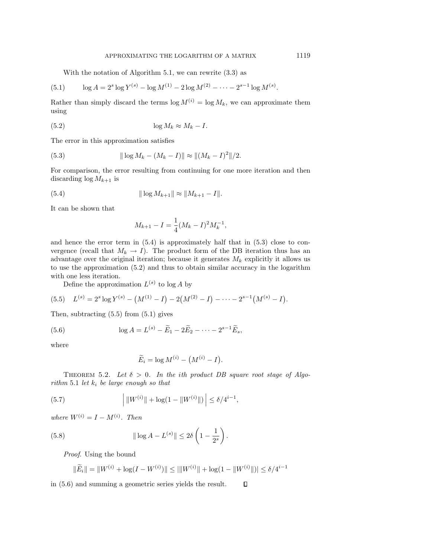With the notation of Algorithm 5.1, we can rewrite  $(3.3)$  as

(5.1) 
$$
\log A = 2^{s} \log Y^{(s)} - \log M^{(1)} - 2 \log M^{(2)} - \dots - 2^{s-1} \log M^{(s)}.
$$

Rather than simply discard the terms  $\log M^{(i)} = \log M_k$ , we can approximate them using

$$
(5.2) \t\t \tlog M_k \approx M_k - I.
$$

The error in this approximation satisfies

(5.3) 
$$
\|\log M_k - (M_k - I)\| \approx \|(M_k - I)^2\|/2.
$$

For comparison, the error resulting from continuing for one more iteration and then discarding  $\log M_{k+1}$  is

(5.4) 
$$
\|\log M_{k+1}\| \approx \|M_{k+1} - I\|.
$$

It can be shown that

$$
M_{k+1} - I = \frac{1}{4}(M_k - I)^2 M_k^{-1},
$$

and hence the error term in  $(5.4)$  is approximately half that in  $(5.3)$  close to convergence (recall that  $M_k \to I$ ). The product form of the DB iteration thus has an advantage over the original iteration; because it generates  $M_k$  explicitly it allows us to use the approximation (5.2) and thus to obtain similar accuracy in the logarithm with one less iteration.

Define the approximation  $L^{(s)}$  to log A by

(5.5) 
$$
L^{(s)} = 2^s \log Y^{(s)} - (M^{(1)} - I) - 2(M^{(2)} - I) - \cdots - 2^{s-1}(M^{(s)} - I).
$$

Then, subtracting (5.5) from (5.1) gives

(5.6) 
$$
\log A = L^{(s)} - \widetilde{E}_1 - 2\widetilde{E}_2 - \cdots - 2^{s-1}\widetilde{E}_s,
$$

where

$$
\widetilde{E}_i = \log M^{(i)} - \left(M^{(i)} - I\right).
$$

THEOREM 5.2. Let  $\delta > 0$ . In the ith product DB square root stage of Algorithm 5.1 let  $k_i$  be large enough so that

(5.7) 
$$
\left| \|W^{(i)}\| + \log(1 - \|W^{(i)}\|) \right| \le \delta/4^{i-1},
$$

where  $W^{(i)} = I - M^{(i)}$ . Then

(5.8) 
$$
\|\log A - L^{(s)}\| \le 2\delta \left(1 - \frac{1}{2^s}\right).
$$

Proof. Using the bound

$$
\|\widetilde{E}_i\| = \|W^{(i)} + \log(I - W^{(i)})\| \le ||W^{(i)}|| + \log(1 - \|W^{(i)}\|)| \le \delta/4^{i-1}
$$

in (5.6) and summing a geometric series yields the result. $\Box$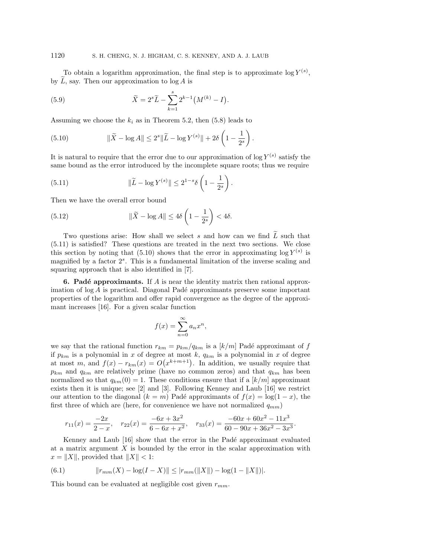To obtain a logarithm approximation, the final step is to approximate  $\log Y^{(s)}$ , by  $\tilde{L}$ , say. Then our approximation to  $\log A$  is

(5.9) 
$$
\widetilde{X} = 2^s \widetilde{L} - \sum_{k=1}^s 2^{k-1} \left( M^{(k)} - I \right).
$$

Assuming we choose the  $k_i$  as in Theorem 5.2, then (5.8) leads to

(5.10) 
$$
\|\widetilde{X} - \log A\| \le 2^s \|\widetilde{L} - \log Y^{(s)}\| + 2\delta \left(1 - \frac{1}{2^s}\right).
$$

It is natural to require that the error due to our approximation of  $\log Y^{(s)}$  satisfy the same bound as the error introduced by the incomplete square roots; thus we require

(5.11) 
$$
\|\widetilde{L} - \log Y^{(s)}\| \le 2^{1-s} \delta \left(1 - \frac{1}{2^s}\right).
$$

Then we have the overall error bound

(5.12) 
$$
\|\widetilde{X} - \log A\| \le 4\delta \left(1 - \frac{1}{2^s}\right) < 4\delta.
$$

Two questions arise: How shall we select s and how can we find  $\widetilde{L}$  such that (5.11) is satisfied? These questions are treated in the next two sections. We close this section by noting that (5.10) shows that the error in approximating  $\log Y^{(s)}$  is magnified by a factor  $2<sup>s</sup>$ . This is a fundamental limitation of the inverse scaling and squaring approach that is also identified in [7].

**6. Padé approximants.** If A is near the identity matrix then rational approximation of  $\log A$  is practical. Diagonal Padé approximants preserve some important properties of the logarithm and offer rapid convergence as the degree of the approximant increases [16]. For a given scalar function

$$
f(x) = \sum_{n=0}^{\infty} a_n x^n,
$$

we say that the rational function  $r_{km} = p_{km}/q_{km}$  is a  $[k/m]$  Padé approximant of f if  $p_{km}$  is a polynomial in x of degree at most k,  $q_{km}$  is a polynomial in x of degree at most m, and  $f(x) - r_{km}(x) = O(x^{k+m+1})$ . In addition, we usually require that  $p_{km}$  and  $q_{km}$  are relatively prime (have no common zeros) and that  $q_{km}$  has been normalized so that  $q_{km}(0) = 1$ . These conditions ensure that if a  $k/m$  approximant exists then it is unique; see [2] and [3]. Following Kenney and Laub [16] we restrict our attention to the diagonal  $(k = m)$  Padé approximants of  $f(x) = \log(1 - x)$ , the first three of which are (here, for convenience we have not normalized  $q_{mm}$ )

$$
r_{11}(x) = \frac{-2x}{2-x}, \quad r_{22}(x) = \frac{-6x + 3x^2}{6 - 6x + x^2}, \quad r_{33}(x) = \frac{-60x + 60x^2 - 11x^3}{60 - 90x + 36x^2 - 3x^3}.
$$

Kenney and Laub [16] show that the error in the Padé approximant evaluated at a matrix argument  $X$  is bounded by the error in the scalar approximation with  $x = \|X\|$ , provided that  $\|X\| < 1$ :

(6.1) 
$$
||r_{mm}(X) - \log(I - X)|| \le |r_{mm}(||X||) - \log(1 - ||X||)|.
$$

This bound can be evaluated at negligible cost given  $r_{mm}$ .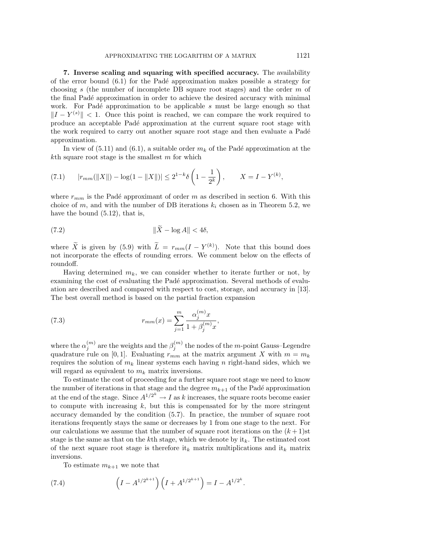**7. Inverse scaling and squaring with specified accuracy.** The availability of the error bound  $(6.1)$  for the Padé approximation makes possible a strategy for choosing s (the number of incomplete DB square root stages) and the order m of the final Padé approximation in order to achieve the desired accuracy with minimal work. For Padé approximation to be applicable  $s$  must be large enough so that  $||I - Y^{(s)}|| < 1$ . Once this point is reached, we can compare the work required to produce an acceptable Pad´e approximation at the current square root stage with the work required to carry out another square root stage and then evaluate a Padé approximation.

In view of  $(5.11)$  and  $(6.1)$ , a suitable order  $m_k$  of the Padé approximation at the  $k<sup>th</sup>$  square root stage is the smallest m for which

(7.1) 
$$
|r_{mm}(\|X\|) - \log(1 - \|X\|)| \le 2^{1-k} \delta\left(1 - \frac{1}{2^k}\right), \qquad X = I - Y^{(k)},
$$

where  $r_{mm}$  is the Padé approximant of order m as described in section 6. With this choice of m, and with the number of DB iterations  $k_i$  chosen as in Theorem 5.2, we have the bound (5.12), that is,

$$
\|\tilde{X} - \log A\| < 4\delta,
$$

where  $\tilde{X}$  is given by (5.9) with  $\tilde{L} = r_{mm}(I - Y^{(k)})$ . Note that this bound does not incorporate the effects of rounding errors. We comment below on the effects of roundoff.

Having determined  $m_k$ , we can consider whether to iterate further or not, by examining the cost of evaluating the Padé approximation. Several methods of evaluation are described and compared with respect to cost, storage, and accuracy in [13]. The best overall method is based on the partial fraction expansion

(7.3) 
$$
r_{mm}(x) = \sum_{j=1}^{m} \frac{\alpha_j^{(m)} x}{1 + \beta_j^{(m)} x},
$$

where the  $\alpha_j^{(m)}$  are the weights and the  $\beta_j^{(m)}$  the nodes of the m-point Gauss–Legendre quadrature rule on [0, 1]. Evaluating  $r_{mm}$  at the matrix argument X with  $m = m_k$ requires the solution of  $m_k$  linear systems each having n right-hand sides, which we will regard as equivalent to  $m_k$  matrix inversions.

To estimate the cost of proceeding for a further square root stage we need to know the number of iterations in that stage and the degree  $m_{k+1}$  of the Padé approximation at the end of the stage. Since  $A^{1/2^k} \to I$  as k increases, the square roots become easier to compute with increasing  $k$ , but this is compensated for by the more stringent accuracy demanded by the condition (5.7). In practice, the number of square root iterations frequently stays the same or decreases by 1 from one stage to the next. For our calculations we assume that the number of square root iterations on the  $(k+1)$ st stage is the same as that on the kth stage, which we denote by  $it_k$ . The estimated cost of the next square root stage is therefore it<sub>k</sub> matrix multiplications and it<sub>k</sub> matrix inversions.

To estimate  $m_{k+1}$  we note that

(7.4) 
$$
\left(I - A^{1/2^{k+1}}\right)\left(I + A^{1/2^{k+1}}\right) = I - A^{1/2^k}.
$$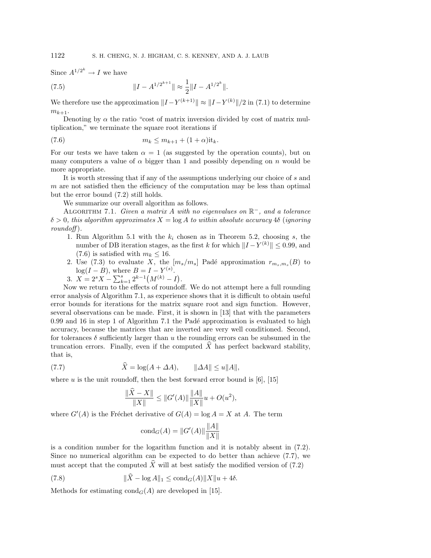Since  $A^{1/2^k} \to I$  we have

(7.5) 
$$
||I - A^{1/2^{k+1}}|| \approx \frac{1}{2} ||I - A^{1/2^{k}}||.
$$

We therefore use the approximation  $||I - Y^{(k+1)}|| \approx ||I - Y^{(k)}||/2$  in (7.1) to determine  $m_{k+1}$ .

Denoting by  $\alpha$  the ratio "cost of matrix inversion divided by cost of matrix multiplication," we terminate the square root iterations if

$$
(7.6) \t\t\t\t m_k \leq m_{k+1} + (1+\alpha)i t_k.
$$

For our tests we have taken  $\alpha = 1$  (as suggested by the operation counts), but on many computers a value of  $\alpha$  bigger than 1 and possibly depending on n would be more appropriate.

It is worth stressing that if any of the assumptions underlying our choice of s and  $m$  are not satisfied then the efficiency of the computation may be less than optimal but the error bound (7.2) still holds.

We summarize our overall algorithm as follows.

ALGORITHM 7.1. Given a matrix A with no eigenvalues on  $\mathbb{R}^-$ , and a tolerance  $\delta > 0$ , this algorithm approximates  $X = \log A$  to within absolute accuracy 4 $\delta$  (ignoring  $roundoff$ ).

- 1. Run Algorithm 5.1 with the  $k_i$  chosen as in Theorem 5.2, choosing s, the number of DB iteration stages, as the first k for which  $||I - Y^{(k)}|| \le 0.99$ , and (7.6) is satisfied with  $m_k \leq 16$ .
- 2. Use (7.3) to evaluate X, the  $[m_s/m_s]$  Padé approximation  $r_{m_s,m_s}(B)$  to  $log(I - B)$ , where  $B = I - Y^{(s)}$ .
- 3.  $X = 2<sup>s</sup> X \sum_{k=1}^{s} 2^{k-1} (M^{(k)} I).$

Now we return to the effects of roundoff. We do not attempt here a full rounding error analysis of Algorithm 7.1, as experience shows that it is difficult to obtain useful error bounds for iterations for the matrix square root and sign function. However, several observations can be made. First, it is shown in [13] that with the parameters  $0.99$  and  $16$  in step 1 of Algorithm 7.1 the Padé approximation is evaluated to high accuracy, because the matrices that are inverted are very well conditioned. Second, for tolerances  $\delta$  sufficiently larger than u the rounding errors can be subsumed in the truncation errors. Finally, even if the computed  $X$  has perfect backward stability, that is,

(7.7) 
$$
\widehat{X} = \log(A + \Delta A), \qquad \|\Delta A\| \le u\|A\|,
$$

where u is the unit roundoff, then the best forward error bound is  $[6]$ ,  $[15]$ 

$$
\frac{\|\hat{X} - X\|}{\|X\|} \le \|G'(A)\| \frac{\|A\|}{\|X\|} u + O(u^2),
$$

where  $G'(A)$  is the Fréchet derivative of  $G(A) = \log A = X$  at A. The term

$$
cond_G(A) = ||G'(A)|| \frac{||A||}{||X||}
$$

is a condition number for the logarithm function and it is notably absent in (7.2). Since no numerical algorithm can be expected to do better than achieve (7.7), we must accept that the computed  $\widehat{X}$  will at best satisfy the modified version of (7.2)

(7.8) 
$$
\|X - \log A\|_1 \leq \text{cond}_G(A) \|X\|_1 + 4\delta.
$$

Methods for estimating  $\text{cond}_G(A)$  are developed in [15].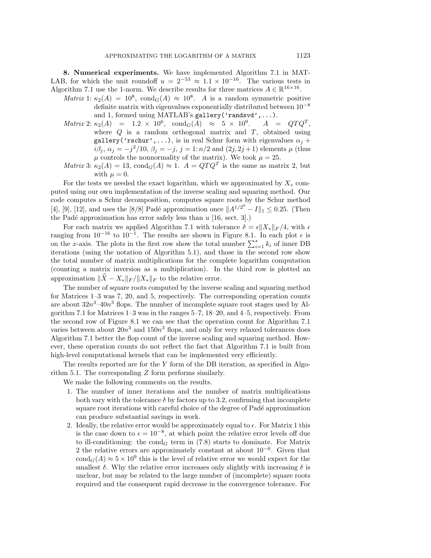**8. Numerical experiments.** We have implemented Algorithm 7.1 in MAT-LAB, for which the unit roundoff  $u = 2^{-53} \approx 1.1 \times 10^{-16}$ . The various tests in Algorithm 7.1 use the 1-norm. We describe results for three matrices  $A \in \mathbb{R}^{16 \times 16}$ .

- Matrix 1:  $\kappa_2(A) = 10^8$ , cond $_G(A) \approx 10^8$ . A is a random symmetric positive definite matrix with eigenvalues exponentially distributed between  $10^{-8}$
- and 1, formed using MATLAB's gallery('randsvd',...).<br>  $\kappa_2(A) = 1.2 \times 10^6$ ,  $\text{cond}_G(A) \approx 5 \times 10^9$ .  $A = QTQ^T$ . Matrix 2:  $\kappa_2(A) = 1.2 \times 10^6$ , cond<sub>G</sub>(A)  $\approx 5 \times 10^9$ . where  $Q$  is a random orthogonal matrix and  $T$ , obtained using gallery('rschur',...), is in real Schur form with eigenvalues  $\alpha_i$  +  $i\beta_j, \alpha_j = -j^2/10, \beta_j = -j, j = 1: n/2 \text{ and } (2j, 2j+1) \text{ elements } \mu \text{ (thus)}$  $\mu$  controls the nonnormality of the matrix). We took  $\mu = 25$ .
- *Matrix* 3:  $\kappa_2(A) = 13$ ,  $\text{cond}_G(A) \approx 1$ .  $A = QTQ^T$  is the same as matrix 2, but with  $\mu = 0$ .

For the tests we needed the exact logarithm, which we approximated by  $X_*$  computed using our own implementation of the inverse scaling and squaring method. Our code computes a Schur decomposition, computes square roots by the Schur method [4], [9], [12], and uses the [8/8] Padé approximation once  $||A^{1/2^{k}} - I||_1 \le 0.25$ . (Then the Padé approximation has error safely less than  $u$  [16, sect. 3].)

For each matrix we applied Algorithm 7.1 with tolerance  $\delta = \epsilon ||X_*||_F / 4$ , with  $\epsilon$ ranging from  $10^{-16}$  to  $10^{-1}$ . The results are shown in Figure 8.1. In each plot  $\epsilon$  is on the x-axis. The plots in the first row show the total number  $\sum_{i=1}^{s} k_i$  of inner DB iterations (using the notation of Algorithm 5.1), and those in the second row show the total number of matrix multiplications for the complete logarithm computation (counting a matrix inversion as a multiplication). In the third row is plotted an approximation  $\|\hat{X} - X_*\|_F / \|X_*\|_F$  to the relative error.

The number of square roots computed by the inverse scaling and squaring method for Matrices 1–3 was 7, 20, and 5, respectively. The corresponding operation counts are about  $32n^3-40n^3$  flops. The number of incomplete square root stages used by Algorithm 7.1 for Matrices 1–3 was in the ranges 5–7, 18–20, and 4–5, respectively. From the second row of Figure 8.1 we can see that the operation count for Algorithm 7.1 varies between about  $20n^3$  and  $150n^3$  flops, and only for very relaxed tolerances does Algorithm 7.1 better the flop count of the inverse scaling and squaring method. However, these operation counts do not reflect the fact that Algorithm 7.1 is built from high-level computational kernels that can be implemented very efficiently.

The results reported are for the  $Y$  form of the DB iteration, as specified in Algorithm 5.1. The corresponding Z form performs similarly.

We make the following comments on the results.

- 1. The number of inner iterations and the number of matrix multiplications both vary with the tolerance  $\delta$  by factors up to 3.2, confirming that incomplete square root iterations with careful choice of the degree of Padé approximation can produce substantial savings in work.
- 2. Ideally, the relative error would be approximately equal to  $\epsilon$ . For Matrix 1 this is the case down to  $\epsilon = 10^{-8}$ , at which point the relative error levels off due to ill-conditioning: the cond<sub>G</sub> term in (7.8) starts to dominate. For Matrix 2 the relative errors are approximately constant at about  $10^{-6}$ . Given that  $\text{cond}_G(A) \approx 5 \times 10^9$  this is the level of relative error we would expect for the smallest  $\delta$ . Why the relative error increases only slightly with increasing  $\delta$  is unclear, but may be related to the large number of (incomplete) square roots required and the consequent rapid decrease in the convergence tolerance. For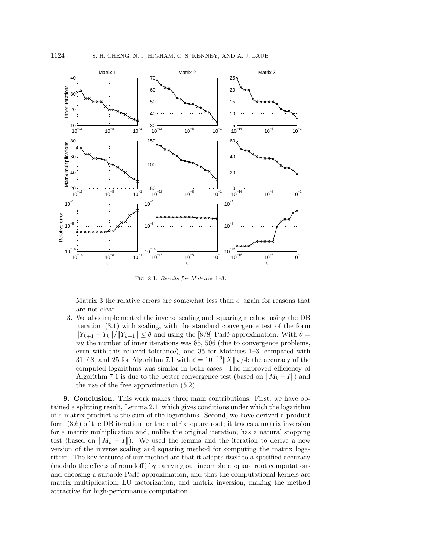

FIG. 8.1. Results for Matrices 1-3.

Matrix 3 the relative errors are somewhat less than  $\epsilon$ , again for reasons that are not clear.

3. We also implemented the inverse scaling and squaring method using the DB iteration (3.1) with scaling, with the standard convergence test of the form  $||Y_{k+1} - Y_k||/||Y_{k+1}|| \leq \theta$  and using the [8/8] Padé approximation. With  $\theta =$ nu the number of inner iterations was  $85, 506$  (due to convergence problems, even with this relaxed tolerance), and 35 for Matrices 1–3, compared with 31, 68, and 25 for Algorithm 7.1 with  $\delta = 10^{-16} ||X||_F / 4$ ; the accuracy of the computed logarithms was similar in both cases. The improved efficiency of Algorithm 7.1 is due to the better convergence test (based on  $||M_k - I||$ ) and the use of the free approximation (5.2).

**9. Conclusion.** This work makes three main contributions. First, we have obtained a splitting result, Lemma 2.1, which gives conditions under which the logarithm of a matrix product is the sum of the logarithms. Second, we have derived a product form (3.6) of the DB iteration for the matrix square root; it trades a matrix inversion for a matrix multiplication and, unlike the original iteration, has a natural stopping test (based on  $||M_k - I||$ ). We used the lemma and the iteration to derive a new version of the inverse scaling and squaring method for computing the matrix logarithm. The key features of our method are that it adapts itself to a specified accuracy (modulo the effects of roundoff) by carrying out incomplete square root computations and choosing a suitable Padé approximation, and that the computational kernels are matrix multiplication, LU factorization, and matrix inversion, making the method attractive for high-performance computation.